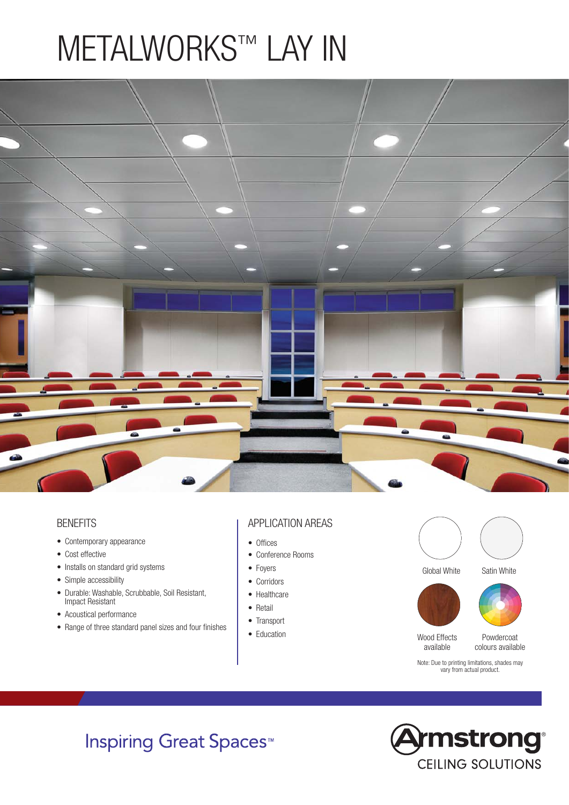# METALWORKS™ LAY IN



### **BENEFITS**

- Contemporary appearance
- Cost effective
- Installs on standard grid systems
- Simple accessibility
- Durable: Washable, Scrubbable, Soil Resistant, Impact Resistant
- Acoustical performance
- Range of three standard panel sizes and four finishes

### APPLICATION AREAS

- Offices
- Conference Rooms
- Foyers
- Corridors
- Healthcare
- Retail
- Transport
- Education



Global White Satin White





Note: Due to printing limitations, shades may vary from actual product.

Wood Effects available